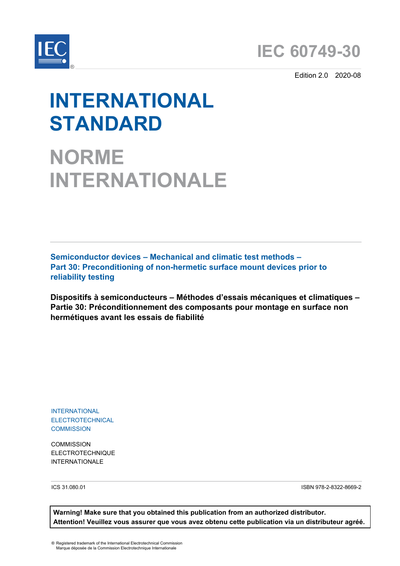

Edition 2.0 2020-08

# **INTERNATIONAL STANDARD**

**NORME INTERNATIONALE**

**Semiconductor devices – Mechanical and climatic test methods – Part 30: Preconditioning of non-hermetic surface mount devices prior to reliability testing** 

**Dispositifs à semiconducteurs – Méthodes d'essais mécaniques et climatiques – Partie 30: Préconditionnement des composants pour montage en surface non hermétiques avant les essais de fiabilité**

INTERNATIONAL ELECTROTECHNICAL **COMMISSION** 

**COMMISSION** ELECTROTECHNIQUE INTERNATIONALE

ICS 31.080.01 ISBN 978-2-8322-8669-2

**Warning! Make sure that you obtained this publication from an authorized distributor. Attention! Veuillez vous assurer que vous avez obtenu cette publication via un distributeur agréé.**

® Registered trademark of the International Electrotechnical Commission Marque déposée de la Commission Electrotechnique Internationale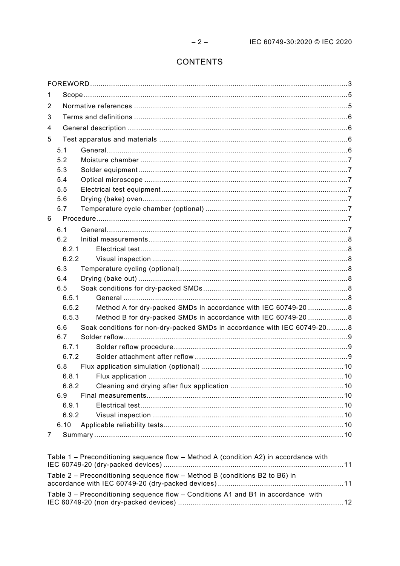# CONTENTS

| 1 |              |                                                                                      |  |
|---|--------------|--------------------------------------------------------------------------------------|--|
| 2 |              |                                                                                      |  |
| 3 |              |                                                                                      |  |
| 4 |              |                                                                                      |  |
| 5 |              |                                                                                      |  |
|   | 5.1          |                                                                                      |  |
|   | 5.2          |                                                                                      |  |
|   | 5.3          |                                                                                      |  |
|   | 5.4          |                                                                                      |  |
|   | 5.5          |                                                                                      |  |
|   | 5.6          |                                                                                      |  |
|   | 5.7          |                                                                                      |  |
| 6 |              |                                                                                      |  |
|   | 6.1          |                                                                                      |  |
|   | 6.2          |                                                                                      |  |
|   | 6.2.1        |                                                                                      |  |
|   | 6.2.2        |                                                                                      |  |
|   | 6.3          |                                                                                      |  |
|   | 6.4          |                                                                                      |  |
|   | 6.5          |                                                                                      |  |
|   | 6.5.1        |                                                                                      |  |
|   | 6.5.2        | Method A for dry-packed SMDs in accordance with IEC 60749-20 8                       |  |
|   | 6.5.3        | Method B for dry-packed SMDs in accordance with IEC 60749-20 8                       |  |
|   | 6.6          | Soak conditions for non-dry-packed SMDs in accordance with IEC 60749-208             |  |
|   | 6.7          |                                                                                      |  |
|   | 6.7.1        |                                                                                      |  |
|   | 6.7.2        |                                                                                      |  |
|   | 6.8<br>6.8.1 |                                                                                      |  |
|   | 6.8.2        |                                                                                      |  |
|   | 6.9          |                                                                                      |  |
|   | 6.9.1        |                                                                                      |  |
|   | 6.9.2        |                                                                                      |  |
|   | 6.10         |                                                                                      |  |
| 7 |              |                                                                                      |  |
|   |              |                                                                                      |  |
|   |              |                                                                                      |  |
|   |              | Table 1 – Preconditioning sequence flow – Method A (condition A2) in accordance with |  |
|   |              |                                                                                      |  |

| Table 2 – Preconditioning sequence flow – Method B (conditions B2 to B6) in       |  |
|-----------------------------------------------------------------------------------|--|
| Table 3 – Preconditioning sequence flow – Conditions A1 and B1 in accordance with |  |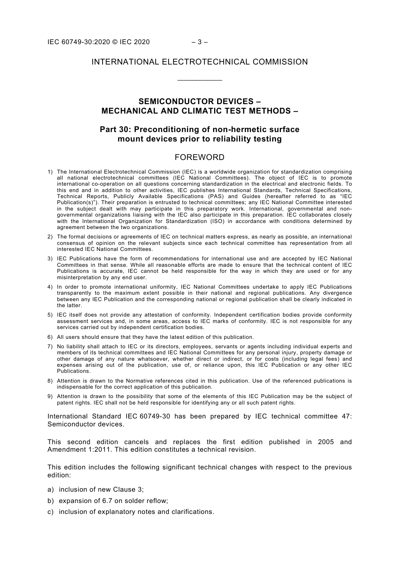#### INTERNATIONAL ELECTROTECHNICAL COMMISSION

\_\_\_\_\_\_\_\_\_\_\_\_

# **SEMICONDUCTOR DEVICES – MECHANICAL AND CLIMATIC TEST METHODS –**

#### **Part 30: Preconditioning of non-hermetic surface mount devices prior to reliability testing**

#### FOREWORD

- <span id="page-2-0"></span>1) The International Electrotechnical Commission (IEC) is a worldwide organization for standardization comprising all national electrotechnical committees (IEC National Committees). The object of IEC is to promote international co-operation on all questions concerning standardization in the electrical and electronic fields. To this end and in addition to other activities, IEC publishes International Standards, Technical Specifications, Technical Reports, Publicly Available Specifications (PAS) and Guides (hereafter referred to as "IEC Publication(s)"). Their preparation is entrusted to technical committees; any IEC National Committee interested in the subject dealt with may participate in this preparatory work. International, governmental and nongovernmental organizations liaising with the IEC also participate in this preparation. IEC collaborates closely with the International Organization for Standardization (ISO) in accordance with conditions determined by agreement between the two organizations.
- 2) The formal decisions or agreements of IEC on technical matters express, as nearly as possible, an international consensus of opinion on the relevant subjects since each technical committee has representation from all interested IEC National Committees.
- 3) IEC Publications have the form of recommendations for international use and are accepted by IEC National Committees in that sense. While all reasonable efforts are made to ensure that the technical content of IEC Publications is accurate, IEC cannot be held responsible for the way in which they are used or for any misinterpretation by any end user.
- 4) In order to promote international uniformity, IEC National Committees undertake to apply IEC Publications transparently to the maximum extent possible in their national and regional publications. Any divergence between any IEC Publication and the corresponding national or regional publication shall be clearly indicated in the latter.
- 5) IEC itself does not provide any attestation of conformity. Independent certification bodies provide conformity assessment services and, in some areas, access to IEC marks of conformity. IEC is not responsible for any services carried out by independent certification bodies.
- 6) All users should ensure that they have the latest edition of this publication.
- 7) No liability shall attach to IEC or its directors, employees, servants or agents including individual experts and members of its technical committees and IEC National Committees for any personal injury, property damage or other damage of any nature whatsoever, whether direct or indirect, or for costs (including legal fees) and expenses arising out of the publication, use of, or reliance upon, this IEC Publication or any other IEC Publications.
- 8) Attention is drawn to the Normative references cited in this publication. Use of the referenced publications is indispensable for the correct application of this publication.
- 9) Attention is drawn to the possibility that some of the elements of this IEC Publication may be the subject of patent rights. IEC shall not be held responsible for identifying any or all such patent rights.

International Standard IEC 60749-30 has been prepared by IEC technical committee 47: Semiconductor devices.

This second edition cancels and replaces the first edition published in 2005 and Amendment 1:2011. This edition constitutes a technical revision.

This edition includes the following significant technical changes with respect to the previous edition:

- a) inclusion of new Clause 3;
- b) expansion of 6.7 on solder reflow;
- c) inclusion of explanatory notes and clarifications.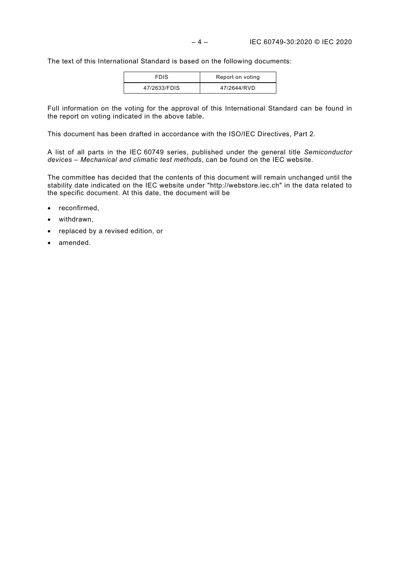The text of this International Standard is based on the following documents:

| <b>FDIS</b>  | Report on voting |
|--------------|------------------|
| 47/2633/FDIS | 47/2644/RVD      |

Full information on the voting for the approval of this International Standard can be found in the report on voting indicated in the above table.

This document has been drafted in accordance with the ISO/IEC Directives, Part 2.

A list of all parts in the IEC 60749 series, published under the general title *Semiconductor devices – Mechanical and climatic test methods*, can be found on the IEC website.

The committee has decided that the contents of this document will remain unchanged until the stability date indicated on the IEC website under "http://webstore.iec.ch" in the data related to the specific document. At this date, the document will be

- reconfirmed,
- withdrawn,
- replaced by a revised edition, or
- amended.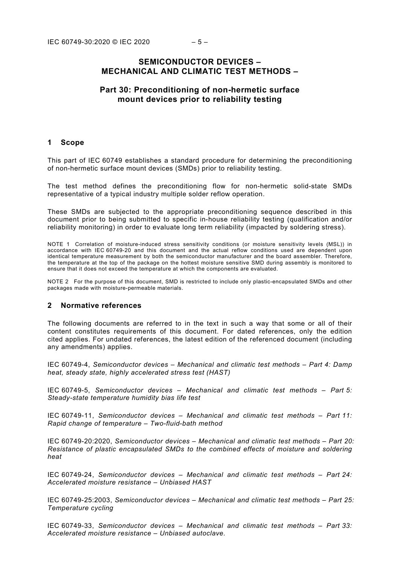#### **SEMICONDUCTOR DEVICES – MECHANICAL AND CLIMATIC TEST METHODS –**

#### **Part 30: Preconditioning of non-hermetic surface mount devices prior to reliability testing**

#### <span id="page-4-0"></span>**1 Scope**

This part of IEC 60749 establishes a standard procedure for determining the preconditioning of non-hermetic surface mount devices (SMDs) prior to reliability testing.

The test method defines the preconditioning flow for non-hermetic solid-state SMDs representative of a typical industry multiple solder reflow operation.

These SMDs are subjected to the appropriate preconditioning sequence described in this document prior to being submitted to specific in-house reliability testing (qualification and/or reliability monitoring) in order to evaluate long term reliability (impacted by soldering stress).

NOTE 1 Correlation of moisture-induced stress sensitivity conditions (or moisture sensitivity levels (MSL)) in accordance with IEC 60749-20 and this document and the actual reflow conditions used are dependent upon identical temperature measurement by both the semiconductor manufacturer and the board assembler. Therefore, the temperature at the top of the package on the hottest moisture sensitive SMD during assembly is monitored to ensure that it does not exceed the temperature at which the components are evaluated.

NOTE 2 For the purpose of this document, SMD is restricted to include only plastic-encapsulated SMDs and other packages made with moisture-permeable materials.

#### <span id="page-4-1"></span>**2 Normative references**

The following documents are referred to in the text in such a way that some or all of their content constitutes requirements of this document. For dated references, only the edition cited applies. For undated references, the latest edition of the referenced document (including any amendments) applies.

IEC 60749-4, *Semiconductor devices – Mechanical and climatic test methods – Part 4: Damp heat, steady state, highly accelerated stress test (HAST)*

IEC 60749-5, *Semiconductor devices – Mechanical and climatic test methods – Part 5: Steady-state temperature humidity bias life test* 

IEC 60749-11, *Semiconductor devices – Mechanical and climatic test methods – Part 11: Rapid change of temperature – Two-fluid-bath method*

IEC 60749-20:2020, *Semiconductor devices – Mechanical and climatic test methods – Part 20: Resistance of plastic encapsulated SMDs to the combined effects of moisture and soldering heat*

IEC 60749-24, *Semiconductor devices – Mechanical and climatic test methods – Part 24: Accelerated moisture resistance – Unbiased HAST*

IEC 60749-25:2003, *Semiconductor devices – Mechanical and climatic test methods – Part 25: Temperature cycling*

IEC 60749-33, *Semiconductor devices – Mechanical and climatic test methods – Part 33: Accelerated moisture resistance – Unbiased autoclave.*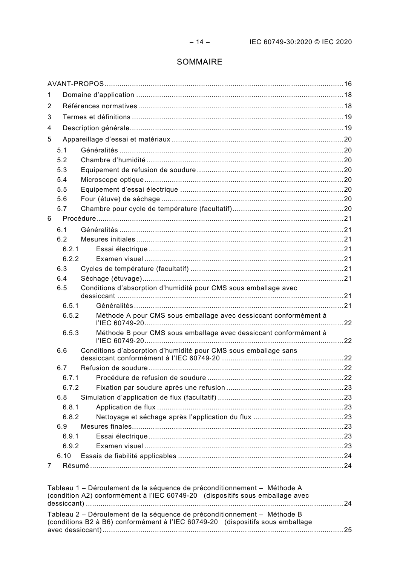# SOMMAIRE

| 1 |       |                                                                                                                                                           |  |
|---|-------|-----------------------------------------------------------------------------------------------------------------------------------------------------------|--|
| 2 |       |                                                                                                                                                           |  |
| 3 |       |                                                                                                                                                           |  |
| 4 |       |                                                                                                                                                           |  |
| 5 |       |                                                                                                                                                           |  |
|   | 5.1   |                                                                                                                                                           |  |
|   | 5.2   |                                                                                                                                                           |  |
|   | 5.3   |                                                                                                                                                           |  |
|   | 5.4   |                                                                                                                                                           |  |
|   | 5.5   |                                                                                                                                                           |  |
|   | 5.6   |                                                                                                                                                           |  |
|   | 5.7   |                                                                                                                                                           |  |
| 6 |       |                                                                                                                                                           |  |
|   | 6.1   |                                                                                                                                                           |  |
|   | 6.2   |                                                                                                                                                           |  |
|   | 6.2.1 |                                                                                                                                                           |  |
|   | 6.2.2 |                                                                                                                                                           |  |
|   | 6.3   |                                                                                                                                                           |  |
|   | 6.4   |                                                                                                                                                           |  |
|   | 6.5   | Conditions d'absorption d'humidité pour CMS sous emballage avec                                                                                           |  |
|   | 6.5.1 |                                                                                                                                                           |  |
|   | 6.5.2 | Méthode A pour CMS sous emballage avec dessiccant conformément à                                                                                          |  |
|   | 6.5.3 | Méthode B pour CMS sous emballage avec dessiccant conformément à                                                                                          |  |
|   | 6.6   | Conditions d'absorption d'humidité pour CMS sous emballage sans                                                                                           |  |
|   | 6.7   |                                                                                                                                                           |  |
|   | 6.7.1 |                                                                                                                                                           |  |
|   | 6.7.2 |                                                                                                                                                           |  |
|   | 6.8   |                                                                                                                                                           |  |
|   | 6.8.1 |                                                                                                                                                           |  |
|   | 6.8.2 |                                                                                                                                                           |  |
|   | 6.9   |                                                                                                                                                           |  |
|   | 6.9.1 |                                                                                                                                                           |  |
|   | 6.9.2 |                                                                                                                                                           |  |
|   | 6.10  |                                                                                                                                                           |  |
| 7 |       |                                                                                                                                                           |  |
|   |       |                                                                                                                                                           |  |
|   |       | Tableau 1 – Déroulement de la séquence de préconditionnement – Méthode A<br>(condition A2) conformément à l'IEC 60749-20 (dispositifs sous emballage avec |  |

| (condition AZ) conformement a FIEC 60749-20 (dispositifs sous emballage avec                                                                               |  |
|------------------------------------------------------------------------------------------------------------------------------------------------------------|--|
| Tableau 2 – Déroulement de la séquence de préconditionnement – Méthode B<br>(conditions B2 à B6) conformément à l'IEC 60749-20 (dispositifs sous emballage |  |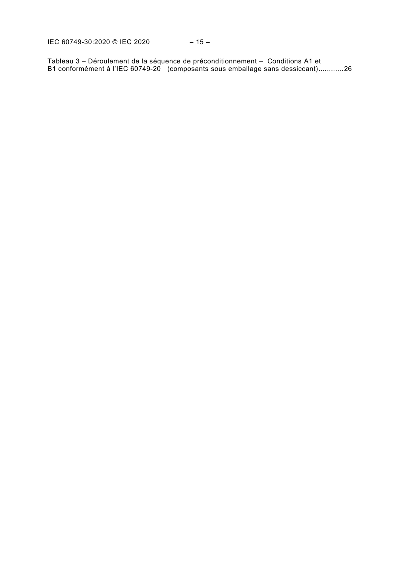Tableau 3 – Déroulement de la séquence de préconditionnement – Conditions A1 et B1 conformément à l'IEC 60749-20 (composants sous emballage sans dessiccant)............26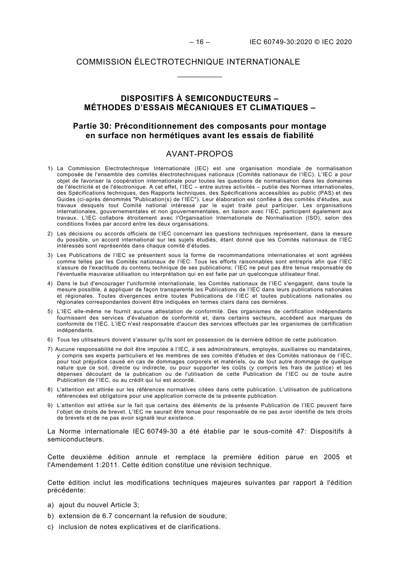### COMMISSION ÉLECTROTECHNIQUE INTERNATIONALE

# **DISPOSITIFS À SEMICONDUCTEURS – MÉTHODES D'ESSAIS MÉCANIQUES ET CLIMATIQUES –**

\_\_\_\_\_\_\_\_\_\_\_\_

#### **Partie 30: Préconditionnement des composants pour montage en surface non hermétiques avant les essais de fiabilité**

#### AVANT-PROPOS

- <span id="page-7-0"></span>1) La Commission Electrotechnique Internationale (IEC) est une organisation mondiale de normalisation composée de l'ensemble des comités électrotechniques nationaux (Comités nationaux de l'IEC). L'IEC a pour objet de favoriser la coopération internationale pour toutes les questions de normalisation dans les domaines de l'électricité et de l'électronique. A cet effet, l'IEC – entre autres activités – publie des Normes internationales, des Spécifications techniques, des Rapports techniques, des Spécifications accessibles au public (PAS) et des Guides (ci-après dénommés "Publication(s) de l'IEC"). Leur élaboration est confiée à des comités d'études, aux travaux desquels tout Comité national intéressé par le sujet traité peut participer. Les organisations internationales, gouvernementales et non gouvernementales, en liaison avec l'IEC, participent également aux travaux. L'IEC collabore étroitement avec l'Organisation Internationale de Normalisation (ISO), selon des conditions fixées par accord entre les deux organisations.
- 2) Les décisions ou accords officiels de l'IEC concernant les questions techniques représentent, dans la mesure du possible, un accord international sur les sujets étudiés, étant donné que les Comités nationaux de l'IEC intéressés sont représentés dans chaque comité d'études.
- 3) Les Publications de l'IEC se présentent sous la forme de recommandations internationales et sont agréées comme telles par les Comités nationaux de l'IEC. Tous les efforts raisonnables sont entrepris afin que l'IEC s'assure de l'exactitude du contenu technique de ses publications; l'IEC ne peut pas être tenue responsable de l'éventuelle mauvaise utilisation ou interprétation qui en est faite par un quelconque utilisateur final.
- 4) Dans le but d'encourager l'uniformité internationale, les Comités nationaux de l'IEC s'engagent, dans toute la mesure possible, à appliquer de façon transparente les Publications de l'IEC dans leurs publications nationales et régionales. Toutes divergences entre toutes Publications de l'IEC et toutes publications nationales ou régionales correspondantes doivent être indiquées en termes clairs dans ces dernières.
- 5) L'IEC elle-même ne fournit aucune attestation de conformité. Des organismes de certification indépendants fournissent des services d'évaluation de conformité et, dans certains secteurs, accèdent aux marques de conformité de l'IEC. L'IEC n'est responsable d'aucun des services effectués par les organismes de certification indépendants.
- 6) Tous les utilisateurs doivent s'assurer qu'ils sont en possession de la dernière édition de cette publication.
- 7) Aucune responsabilité ne doit être imputée à l'IEC, à ses administrateurs, employés, auxiliaires ou mandataires, y compris ses experts particuliers et les membres de ses comités d'études et des Comités nationaux de l'IEC, pour tout préjudice causé en cas de dommages corporels et matériels, ou de tout autre dommage de quelque nature que ce soit, directe ou indirecte, ou pour supporter les coûts (y compris les frais de justice) et les dépenses découlant de la publication ou de l'utilisation de cette Publication de l'IEC ou de toute autre Publication de l'IEC, ou au crédit qui lui est accordé.
- 8) L'attention est attirée sur les références normatives citées dans cette publication. L'utilisation de publications référencées est obligatoire pour une application correcte de la présente publication.
- 9) L'attention est attirée sur le fait que certains des éléments de la présente Publication de l'IEC peuvent faire l'objet de droits de brevet. L'IEC ne saurait être tenue pour responsable de ne pas avoir identifié de tels droits de brevets et de ne pas avoir signalé leur existence.

La Norme internationale IEC 60749-30 a été établie par le sous-comité 47: Dispositifs à semiconducteurs.

Cette deuxième édition annule et remplace la première édition parue en 2005 et l'Amendement 1:2011. Cette édition constitue une révision technique.

Cette édition inclut les modifications techniques majeures suivantes par rapport à l'édition précédente:

- a) ajout du nouvel Article [3;](#page-10-0)
- b) extension de 6.7 concernant la refusion de soudure;
- c) inclusion de notes explicatives et de clarifications.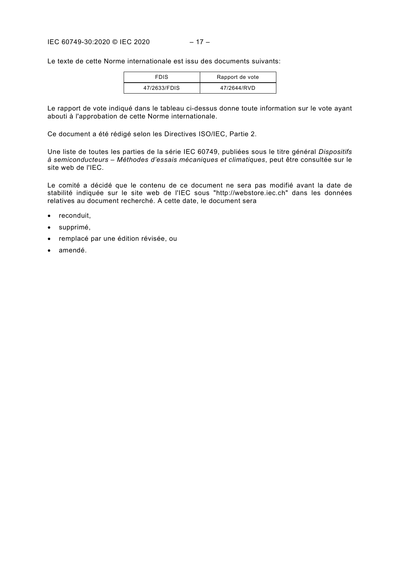Le texte de cette Norme internationale est issu des documents suivants:

| <b>FDIS</b>  | Rapport de vote |
|--------------|-----------------|
| 47/2633/FDIS | 47/2644/RVD     |

Le rapport de vote indiqué dans le tableau ci-dessus donne toute information sur le vote ayant abouti à l'approbation de cette Norme internationale.

Ce document a été rédigé selon les Directives ISO/IEC, Partie 2.

Une liste de toutes les parties de la série IEC 60749, publiées sous le titre général *Dispositifs à semiconducteurs – Méthodes d'essais mécaniques et climatiques*, peut être consultée sur le site web de l'IEC.

Le comité a décidé que le contenu de ce document ne sera pas modifié avant la date de stabilité indiquée sur le site web de l'IEC sous "http://webstore.iec.ch" dans les données relatives au document recherché. A cette date, le document sera

- reconduit,
- supprimé,
- remplacé par une édition révisée, ou
- amendé.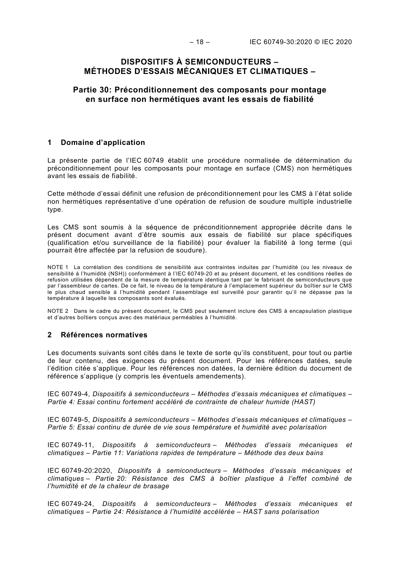### **DISPOSITIFS À SEMICONDUCTEURS – MÉTHODES D'ESSAIS MÉCANIQUES ET CLIMATIQUES –**

#### **Partie 30: Préconditionnement des composants pour montage en surface non hermétiques avant les essais de fiabilité**

#### <span id="page-9-0"></span>**1 Domaine d'application**

La présente partie de l'IEC 60749 établit une procédure normalisée de détermination du préconditionnement pour les composants pour montage en surface (CMS) non hermétiques avant les essais de fiabilité.

Cette méthode d'essai définit une refusion de préconditionnement pour les CMS à l'état solide non hermétiques représentative d'une opération de refusion de soudure multiple industrielle type.

Les CMS sont soumis à la séquence de préconditionnement appropriée décrite dans le présent document avant d'être soumis aux essais de fiabilité sur place spécifiques (qualification et/ou surveillance de la fiabilité) pour évaluer la fiabilité à long terme (qui pourrait être affectée par la refusion de soudure).

NOTE 1 La corrélation des conditions de sensibilité aux contraintes induites par l'humidité (ou les niveaux de sensibilité à l'humidité (NSH)) conformément à l'IEC 60749-20 et au présent document, et les conditions réelles de refusion utilisées dépendent de la mesure de température identique tant par le fabricant de semiconducteurs que par l'assembleur de cartes. De ce fait, le niveau de la température à l'emplacement supérieur du boîtier sur le CMS le plus chaud sensible à l'humidité pendant l'assemblage est surveillé pour garantir qu'il ne dépasse pas la température à laquelle les composants sont évalués.

NOTE 2 Dans le cadre du présent document, le CMS peut seulement inclure des CMS à encapsulation plastique et d'autres boîtiers conçus avec des matériaux perméables à l'humidité.

#### <span id="page-9-1"></span>**2 Références normatives**

Les documents suivants sont cités dans le texte de sorte qu'ils constituent, pour tout ou partie de leur contenu, des exigences du présent document. Pour les références datées, seule l'édition citée s'applique. Pour les références non datées, la dernière édition du document de référence s'applique (y compris les éventuels amendements).

IEC 60749-4, *Dispositifs à semiconducteurs – Méthodes d'essais mécaniques et climatiques – Partie 4: Essai continu fortement accéléré de contrainte de chaleur humide (HAST)*

IEC 60749-5, *Dispositifs à semiconducteurs – Méthodes d'essais mécaniques et climatiques – Partie 5: Essai continu de durée de vie sous température et humidité avec polarisation* 

IEC 60749-11, *Dispositifs à semiconducteurs – Méthodes d'essais mécaniques et climatiques – Partie 11: Variations rapides de température – Méthode des deux bains*

IEC 60749-20:2020, *Dispositifs à semiconducteurs – Méthodes d'essais mécaniques et climatiques – Partie 20: Résistance des CMS à boîtier plastique à l'effet combiné de l'humidité et de la chaleur de brasage*

IEC 60749-24, *Dispositifs à semiconducteurs – Méthodes d'essais mécaniques et climatiques – Partie 24: Résistance à l'humidité accélérée – HAST sans polarisation*